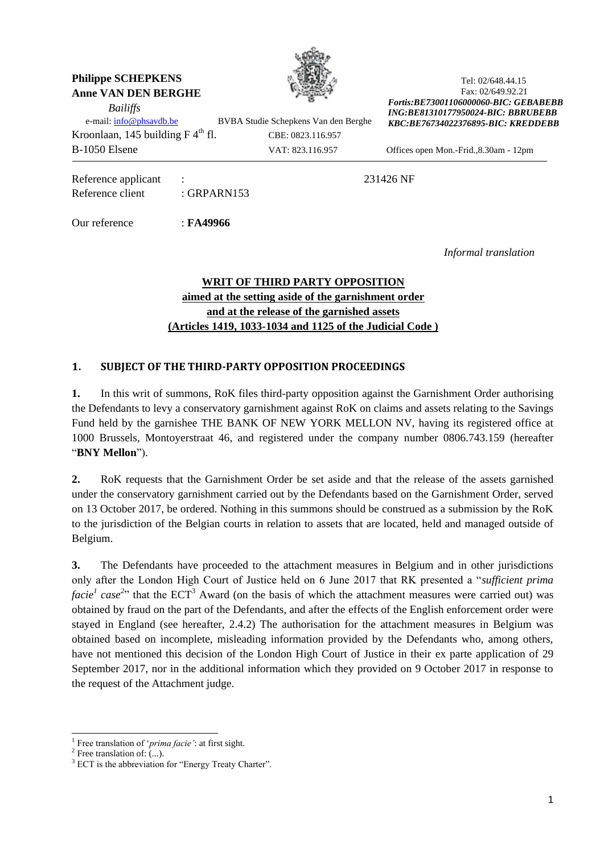### **Philippe SCHEPKENS Anne VAN DEN BERGHE**

*Bailiffs* 



Tel: 02/648.44.15 Fax: 02/649.92.21 *Fortis:BE73001106000060-BIC: GEBABEBB ING:BE81310177950024-BIC: BBRUBEBB KBC:BE76734022376895-BIC: KREDDEBB*

e-mail: [info@phsavdb.be](mailto:info@phsavdb.be) BVBA Studie Schepkens Van den Berghe Kroonlaan, 145 building  $F 4<sup>th</sup>$  fl. CBE: 0823.116.957 B-1050 Elsene VAT: 823.116.957 Offices open Mon.-Frid.,8.30am - 12pm

Reference applicant : 231426 NF Reference client : GRPARN153

Our reference : **FA49966**

*Informal translation*

# **WRIT OF THIRD PARTY OPPOSITION aimed at the setting aside of the garnishment order and at the release of the garnished assets (Articles 1419, 1033-1034 and 1125 of the Judicial Code )**

# **1. SUBJECT OF THE THIRD-PARTY OPPOSITION PROCEEDINGS**

**1.** In this writ of summons, RoK files third-party opposition against the Garnishment Order authorising the Defendants to levy a conservatory garnishment against RoK on claims and assets relating to the Savings Fund held by the garnishee THE BANK OF NEW YORK MELLON NV, having its registered office at 1000 Brussels, Montoyerstraat 46, and registered under the company number 0806.743.159 (hereafter "**BNY Mellon**").

**2.** RoK requests that the Garnishment Order be set aside and that the release of the assets garnished under the conservatory garnishment carried out by the Defendants based on the Garnishment Order, served on 13 October 2017, be ordered. Nothing in this summons should be construed as a submission by the RoK to the jurisdiction of the Belgian courts in relation to assets that are located, held and managed outside of Belgium.

**3.** The Defendants have proceeded to the attachment measures in Belgium and in other jurisdictions only after the London High Court of Justice held on 6 June 2017 that RK presented a "*sufficient prima facie*<sup>*1*</sup> case<sup>2</sup><sup>2</sup> that the ECT<sup>3</sup> Award (on the basis of which the attachment measures were carried out) was obtained by fraud on the part of the Defendants, and after the effects of the English enforcement order were stayed in England (see hereafter, 2.4.2) The authorisation for the attachment measures in Belgium was obtained based on incomplete, misleading information provided by the Defendants who, among others, have not mentioned this decision of the London High Court of Justice in their ex parte application of 29 September 2017, nor in the additional information which they provided on 9 October 2017 in response to the request of the Attachment judge.

1

<sup>1</sup> Free translation of '*prima facie'*: at first sight.

 $2$  Free translation of:  $\dots$ ).

<sup>&</sup>lt;sup>3</sup> ECT is the abbreviation for "Energy Treaty Charter".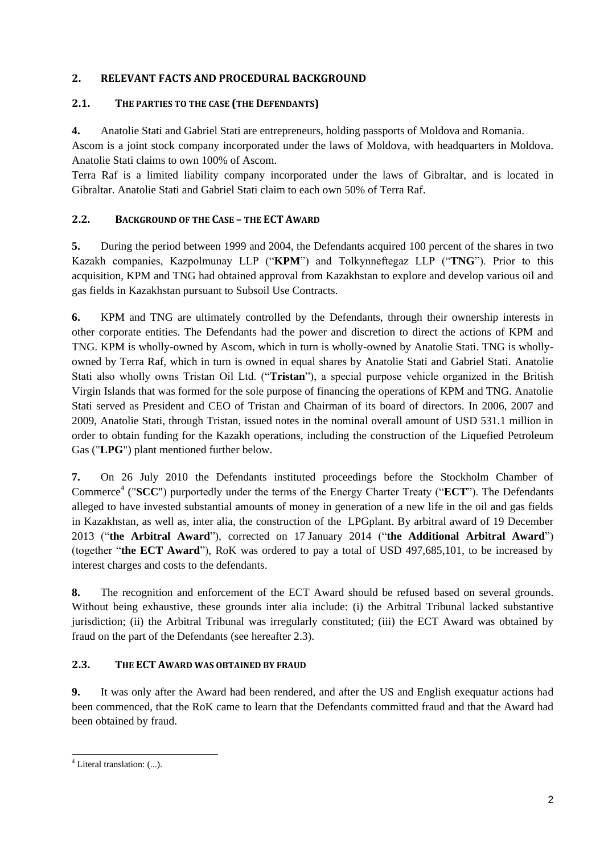# **2. RELEVANT FACTS AND PROCEDURAL BACKGROUND**

### **2.1. THE PARTIES TO THE CASE (THE DEFENDANTS)**

**4.** Anatolie Stati and Gabriel Stati are entrepreneurs, holding passports of Moldova and Romania.

Ascom is a joint stock company incorporated under the laws of Moldova, with headquarters in Moldova. Anatolie Stati claims to own 100% of Ascom.

Terra Raf is a limited liability company incorporated under the laws of Gibraltar, and is located in Gibraltar. Anatolie Stati and Gabriel Stati claim to each own 50% of Terra Raf.

# **2.2. BACKGROUND OF THE CASE – THE ECT AWARD**

**5.** During the period between 1999 and 2004, the Defendants acquired 100 percent of the shares in two Kazakh companies, Kazpolmunay LLP ("**KPM**") and Tolkynneftegaz LLP ("**TNG**"). Prior to this acquisition, KPM and TNG had obtained approval from Kazakhstan to explore and develop various oil and gas fields in Kazakhstan pursuant to Subsoil Use Contracts.

**6.** KPM and TNG are ultimately controlled by the Defendants, through their ownership interests in other corporate entities. The Defendants had the power and discretion to direct the actions of KPM and TNG. KPM is wholly-owned by Ascom, which in turn is wholly-owned by Anatolie Stati. TNG is whollyowned by Terra Raf, which in turn is owned in equal shares by Anatolie Stati and Gabriel Stati. Anatolie Stati also wholly owns Tristan Oil Ltd. ("**Tristan**"), a special purpose vehicle organized in the British Virgin Islands that was formed for the sole purpose of financing the operations of KPM and TNG. Anatolie Stati served as President and CEO of Tristan and Chairman of its board of directors. In 2006, 2007 and 2009, Anatolie Stati, through Tristan, issued notes in the nominal overall amount of USD 531.1 million in order to obtain funding for the Kazakh operations, including the construction of the Liquefied Petroleum Gas ("**LPG**") plant mentioned further below.

**7.** On 26 July 2010 the Defendants instituted proceedings before the Stockholm Chamber of Commerce<sup>4</sup> ("SCC") purportedly under the terms of the Energy Charter Treaty ("ECT"). The Defendants alleged to have invested substantial amounts of money in generation of a new life in the oil and gas fields in Kazakhstan, as well as, inter alia, the construction of the LPGplant. By arbitral award of 19 December 2013 ("**the Arbitral Award**"), corrected on 17 January 2014 ("**the Additional Arbitral Award**") (together "**the ECT Award**"), RoK was ordered to pay a total of USD 497,685,101, to be increased by interest charges and costs to the defendants.

**8.** The recognition and enforcement of the ECT Award should be refused based on several grounds. Without being exhaustive, these grounds inter alia include: (i) the Arbitral Tribunal lacked substantive jurisdiction; (ii) the Arbitral Tribunal was irregularly constituted; (iii) the ECT Award was obtained by fraud on the part of the Defendants (see hereafter 2.3).

# **2.3. THE ECT AWARD WAS OBTAINED BY FRAUD**

**9.** It was only after the Award had been rendered, and after the US and English exequatur actions had been commenced, that the RoK came to learn that the Defendants committed fraud and that the Award had been obtained by fraud.

-

 $4$  Literal translation:  $(...)$ .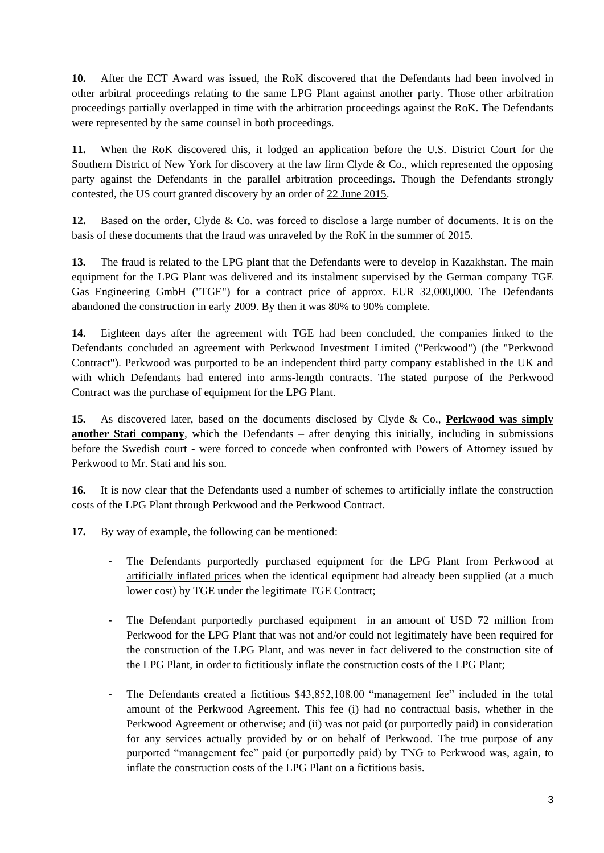**10.** After the ECT Award was issued, the RoK discovered that the Defendants had been involved in other arbitral proceedings relating to the same LPG Plant against another party. Those other arbitration proceedings partially overlapped in time with the arbitration proceedings against the RoK. The Defendants were represented by the same counsel in both proceedings.

**11.** When the RoK discovered this, it lodged an application before the U.S. District Court for the Southern District of New York for discovery at the law firm Clyde & Co., which represented the opposing party against the Defendants in the parallel arbitration proceedings. Though the Defendants strongly contested, the US court granted discovery by an order of 22 June 2015.

**12.** Based on the order, Clyde & Co. was forced to disclose a large number of documents. It is on the basis of these documents that the fraud was unraveled by the RoK in the summer of 2015.

13. The fraud is related to the LPG plant that the Defendants were to develop in Kazakhstan. The main equipment for the LPG Plant was delivered and its instalment supervised by the German company TGE Gas Engineering GmbH ("TGE") for a contract price of approx. EUR 32,000,000. The Defendants abandoned the construction in early 2009. By then it was 80% to 90% complete.

**14.** Eighteen days after the agreement with TGE had been concluded, the companies linked to the Defendants concluded an agreement with Perkwood Investment Limited ("Perkwood") (the "Perkwood Contract"). Perkwood was purported to be an independent third party company established in the UK and with which Defendants had entered into arms-length contracts. The stated purpose of the Perkwood Contract was the purchase of equipment for the LPG Plant.

**15.** As discovered later, based on the documents disclosed by Clyde & Co., **Perkwood was simply another Stati company**, which the Defendants – after denying this initially, including in submissions before the Swedish court - were forced to concede when confronted with Powers of Attorney issued by Perkwood to Mr. Stati and his son.

**16.** It is now clear that the Defendants used a number of schemes to artificially inflate the construction costs of the LPG Plant through Perkwood and the Perkwood Contract.

**17.** By way of example, the following can be mentioned:

- The Defendants purportedly purchased equipment for the LPG Plant from Perkwood at artificially inflated prices when the identical equipment had already been supplied (at a much lower cost) by TGE under the legitimate TGE Contract;
- The Defendant purportedly purchased equipment in an amount of USD 72 million from Perkwood for the LPG Plant that was not and/or could not legitimately have been required for the construction of the LPG Plant, and was never in fact delivered to the construction site of the LPG Plant, in order to fictitiously inflate the construction costs of the LPG Plant;
- The Defendants created a fictitious \$43,852,108.00 "management fee" included in the total amount of the Perkwood Agreement. This fee (i) had no contractual basis, whether in the Perkwood Agreement or otherwise; and (ii) was not paid (or purportedly paid) in consideration for any services actually provided by or on behalf of Perkwood. The true purpose of any purported "management fee" paid (or purportedly paid) by TNG to Perkwood was, again, to inflate the construction costs of the LPG Plant on a fictitious basis.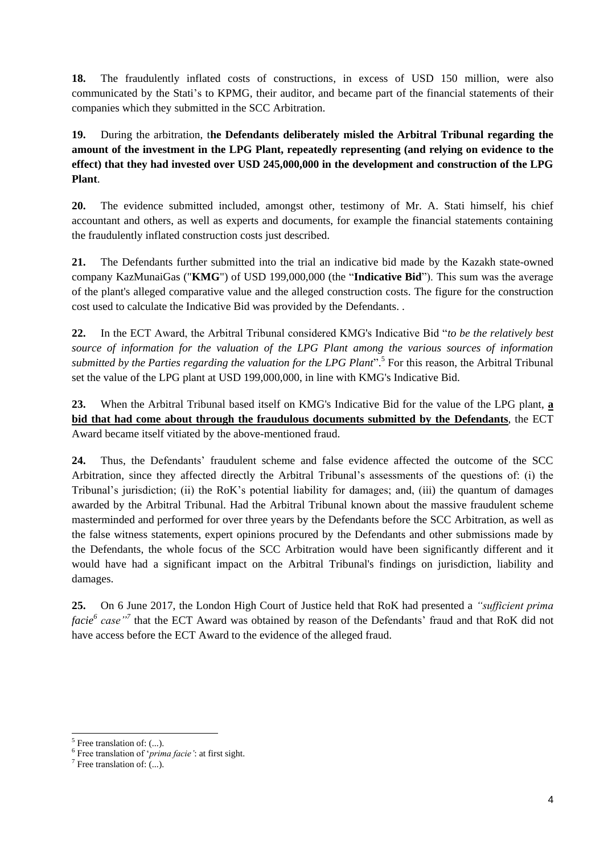**18.** The fraudulently inflated costs of constructions, in excess of USD 150 million, were also communicated by the Stati's to KPMG, their auditor, and became part of the financial statements of their companies which they submitted in the SCC Arbitration.

**19.** During the arbitration, t**he Defendants deliberately misled the Arbitral Tribunal regarding the amount of the investment in the LPG Plant, repeatedly representing (and relying on evidence to the effect) that they had invested over USD 245,000,000 in the development and construction of the LPG Plant**.

**20.** The evidence submitted included, amongst other, testimony of Mr. A. Stati himself, his chief accountant and others, as well as experts and documents, for example the financial statements containing the fraudulently inflated construction costs just described.

**21.** The Defendants further submitted into the trial an indicative bid made by the Kazakh state-owned company KazMunaiGas ("**KMG**") of USD 199,000,000 (the "**Indicative Bid**"). This sum was the average of the plant's alleged comparative value and the alleged construction costs. The figure for the construction cost used to calculate the Indicative Bid was provided by the Defendants. .

**22.** In the ECT Award, the Arbitral Tribunal considered KMG's Indicative Bid "*to be the relatively best source of information for the valuation of the LPG Plant among the various sources of information*  submitted by the Parties regarding the valuation for the LPG Plant<sup>"</sup>.<sup>5</sup> For this reason, the Arbitral Tribunal set the value of the LPG plant at USD 199,000,000, in line with KMG's Indicative Bid.

**23.** When the Arbitral Tribunal based itself on KMG's Indicative Bid for the value of the LPG plant, **a bid that had come about through the fraudulous documents submitted by the Defendants**, the ECT Award became itself vitiated by the above-mentioned fraud.

**24.** Thus, the Defendants' fraudulent scheme and false evidence affected the outcome of the SCC Arbitration, since they affected directly the Arbitral Tribunal's assessments of the questions of: (i) the Tribunal's jurisdiction; (ii) the RoK's potential liability for damages; and, (iii) the quantum of damages awarded by the Arbitral Tribunal. Had the Arbitral Tribunal known about the massive fraudulent scheme masterminded and performed for over three years by the Defendants before the SCC Arbitration, as well as the false witness statements, expert opinions procured by the Defendants and other submissions made by the Defendants, the whole focus of the SCC Arbitration would have been significantly different and it would have had a significant impact on the Arbitral Tribunal's findings on jurisdiction, liability and damages.

**25.** On 6 June 2017, the London High Court of Justice held that RoK had presented a *"sufficient prima facie<sup>6</sup> case"<sup>7</sup>* that the ECT Award was obtained by reason of the Defendants' fraud and that RoK did not have access before the ECT Award to the evidence of the alleged fraud.

1

<sup>&</sup>lt;sup>5</sup> Free translation of: (...).

<sup>6</sup> Free translation of '*prima facie'*: at first sight.

 $^7$  Free translation of: (...).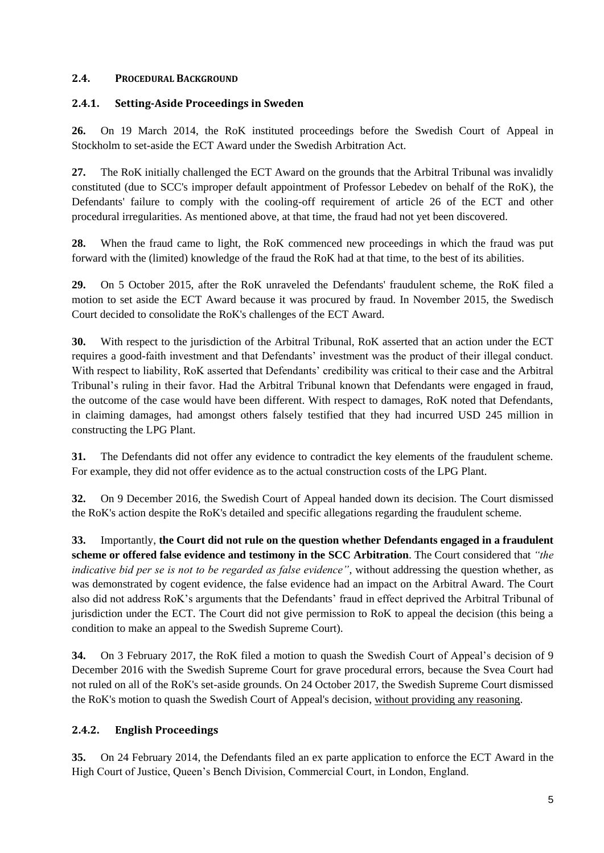## **2.4. PROCEDURAL BACKGROUND**

## **2.4.1. Setting-Aside Proceedings in Sweden**

**26.** On 19 March 2014, the RoK instituted proceedings before the Swedish Court of Appeal in Stockholm to set-aside the ECT Award under the Swedish Arbitration Act.

**27.** The RoK initially challenged the ECT Award on the grounds that the Arbitral Tribunal was invalidly constituted (due to SCC's improper default appointment of Professor Lebedev on behalf of the RoK), the Defendants' failure to comply with the cooling-off requirement of article 26 of the ECT and other procedural irregularities. As mentioned above, at that time, the fraud had not yet been discovered.

**28.** When the fraud came to light, the RoK commenced new proceedings in which the fraud was put forward with the (limited) knowledge of the fraud the RoK had at that time, to the best of its abilities.

**29.** On 5 October 2015, after the RoK unraveled the Defendants' fraudulent scheme, the RoK filed a motion to set aside the ECT Award because it was procured by fraud. In November 2015, the Swedisch Court decided to consolidate the RoK's challenges of the ECT Award.

**30.** With respect to the jurisdiction of the Arbitral Tribunal, RoK asserted that an action under the ECT requires a good-faith investment and that Defendants' investment was the product of their illegal conduct. With respect to liability, RoK asserted that Defendants' credibility was critical to their case and the Arbitral Tribunal's ruling in their favor. Had the Arbitral Tribunal known that Defendants were engaged in fraud, the outcome of the case would have been different. With respect to damages, RoK noted that Defendants, in claiming damages, had amongst others falsely testified that they had incurred USD 245 million in constructing the LPG Plant.

**31.** The Defendants did not offer any evidence to contradict the key elements of the fraudulent scheme. For example, they did not offer evidence as to the actual construction costs of the LPG Plant.

**32.** On 9 December 2016, the Swedish Court of Appeal handed down its decision. The Court dismissed the RoK's action despite the RoK's detailed and specific allegations regarding the fraudulent scheme.

**33.** Importantly, **the Court did not rule on the question whether Defendants engaged in a fraudulent scheme or offered false evidence and testimony in the SCC Arbitration**. The Court considered that *"the indicative bid per se is not to be regarded as false evidence"*, without addressing the question whether, as was demonstrated by cogent evidence, the false evidence had an impact on the Arbitral Award. The Court also did not address RoK's arguments that the Defendants' fraud in effect deprived the Arbitral Tribunal of jurisdiction under the ECT. The Court did not give permission to RoK to appeal the decision (this being a condition to make an appeal to the Swedish Supreme Court).

**34.** On 3 February 2017, the RoK filed a motion to quash the Swedish Court of Appeal's decision of 9 December 2016 with the Swedish Supreme Court for grave procedural errors, because the Svea Court had not ruled on all of the RoK's set-aside grounds. On 24 October 2017, the Swedish Supreme Court dismissed the RoK's motion to quash the Swedish Court of Appeal's decision, without providing any reasoning.

# **2.4.2. English Proceedings**

**35.** On 24 February 2014, the Defendants filed an ex parte application to enforce the ECT Award in the High Court of Justice, Queen's Bench Division, Commercial Court, in London, England.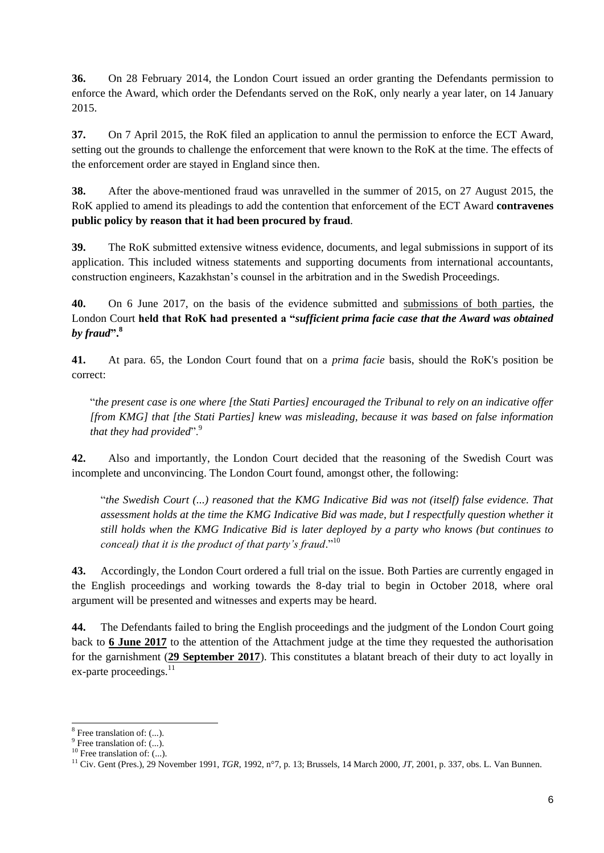**36.** On 28 February 2014, the London Court issued an order granting the Defendants permission to enforce the Award, which order the Defendants served on the RoK, only nearly a year later, on 14 January 2015.

**37.** On 7 April 2015, the RoK filed an application to annul the permission to enforce the ECT Award, setting out the grounds to challenge the enforcement that were known to the RoK at the time. The effects of the enforcement order are stayed in England since then.

**38.** After the above-mentioned fraud was unravelled in the summer of 2015, on 27 August 2015, the RoK applied to amend its pleadings to add the contention that enforcement of the ECT Award **contravenes public policy by reason that it had been procured by fraud**.

**39.** The RoK submitted extensive witness evidence, documents, and legal submissions in support of its application. This included witness statements and supporting documents from international accountants, construction engineers, Kazakhstan's counsel in the arbitration and in the Swedish Proceedings.

**40.** On 6 June 2017, on the basis of the evidence submitted and submissions of both parties, the London Court **held that RoK had presented a "***sufficient prima facie case that the Award was obtained by fraud***". 8**

**41.** At para. 65, the London Court found that on a *prima facie* basis, should the RoK's position be correct:

"*the present case is one where [the Stati Parties] encouraged the Tribunal to rely on an indicative offer [from KMG] that [the Stati Parties] knew was misleading, because it was based on false information that they had provided*".<sup>9</sup>

**42.** Also and importantly, the London Court decided that the reasoning of the Swedish Court was incomplete and unconvincing. The London Court found, amongst other, the following:

"*the Swedish Court (...) reasoned that the KMG Indicative Bid was not (itself) false evidence. That assessment holds at the time the KMG Indicative Bid was made, but I respectfully question whether it still holds when the KMG Indicative Bid is later deployed by a party who knows (but continues to conceal) that it is the product of that party's fraud*."<sup>10</sup>

**43.** Accordingly, the London Court ordered a full trial on the issue. Both Parties are currently engaged in the English proceedings and working towards the 8-day trial to begin in October 2018, where oral argument will be presented and witnesses and experts may be heard.

**44.** The Defendants failed to bring the English proceedings and the judgment of the London Court going back to **6 June 2017** to the attention of the Attachment judge at the time they requested the authorisation for the garnishment (**29 September 2017**). This constitutes a blatant breach of their duty to act loyally in ex-parte proceedings. $^{11}$ 

1

<sup>&</sup>lt;sup>8</sup> Free translation of: (...).

<sup>&</sup>lt;sup>9</sup> Free translation of: (...).

 $10$  Free translation of: (...).

<sup>11</sup> Civ. Gent (Pres.), 29 November 1991, *TGR*, 1992, n°7, p. 13; Brussels, 14 March 2000, *JT,* 2001, p. 337, obs. L. Van Bunnen.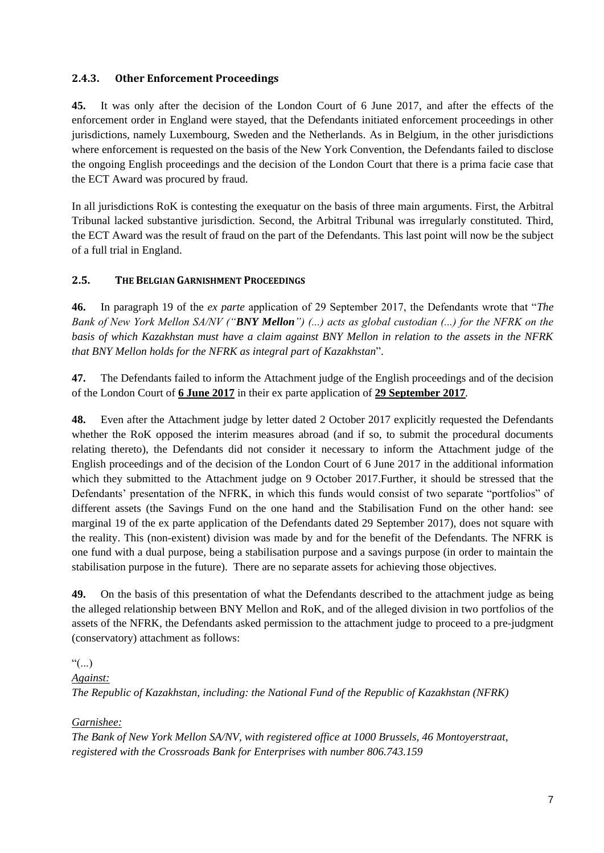# **2.4.3. Other Enforcement Proceedings**

**45.** It was only after the decision of the London Court of 6 June 2017, and after the effects of the enforcement order in England were stayed, that the Defendants initiated enforcement proceedings in other jurisdictions, namely Luxembourg, Sweden and the Netherlands. As in Belgium, in the other jurisdictions where enforcement is requested on the basis of the New York Convention, the Defendants failed to disclose the ongoing English proceedings and the decision of the London Court that there is a prima facie case that the ECT Award was procured by fraud.

In all jurisdictions RoK is contesting the exequatur on the basis of three main arguments. First, the Arbitral Tribunal lacked substantive jurisdiction. Second, the Arbitral Tribunal was irregularly constituted. Third, the ECT Award was the result of fraud on the part of the Defendants. This last point will now be the subject of a full trial in England.

### **2.5. THE BELGIAN GARNISHMENT PROCEEDINGS**

**46.** In paragraph 19 of the *ex parte* application of 29 September 2017, the Defendants wrote that "*The Bank of New York Mellon SA/NV ("BNY Mellon") (...) acts as global custodian (...) for the NFRK on the basis of which Kazakhstan must have a claim against BNY Mellon in relation to the assets in the NFRK that BNY Mellon holds for the NFRK as integral part of Kazakhstan*".

**47.** The Defendants failed to inform the Attachment judge of the English proceedings and of the decision of the London Court of **6 June 2017** in their ex parte application of **29 September 2017***.*

**48.** Even after the Attachment judge by letter dated 2 October 2017 explicitly requested the Defendants whether the RoK opposed the interim measures abroad (and if so, to submit the procedural documents relating thereto), the Defendants did not consider it necessary to inform the Attachment judge of the English proceedings and of the decision of the London Court of 6 June 2017 in the additional information which they submitted to the Attachment judge on 9 October 2017.Further, it should be stressed that the Defendants' presentation of the NFRK, in which this funds would consist of two separate "portfolios" of different assets (the Savings Fund on the one hand and the Stabilisation Fund on the other hand: see marginal 19 of the ex parte application of the Defendants dated 29 September 2017), does not square with the reality. This (non-existent) division was made by and for the benefit of the Defendants. The NFRK is one fund with a dual purpose, being a stabilisation purpose and a savings purpose (in order to maintain the stabilisation purpose in the future). There are no separate assets for achieving those objectives.

**49.** On the basis of this presentation of what the Defendants described to the attachment judge as being the alleged relationship between BNY Mellon and RoK, and of the alleged division in two portfolios of the assets of the NFRK, the Defendants asked permission to the attachment judge to proceed to a pre-judgment (conservatory) attachment as follows:

 $\lq\lq\lq\lq\lq\lq\lq\lq$ *Against: The Republic of Kazakhstan, including: the National Fund of the Republic of Kazakhstan (NFRK)*

### *Garnishee:*

*The Bank of New York Mellon SA/NV, with registered office at 1000 Brussels, 46 Montoyerstraat, registered with the Crossroads Bank for Enterprises with number 806.743.159*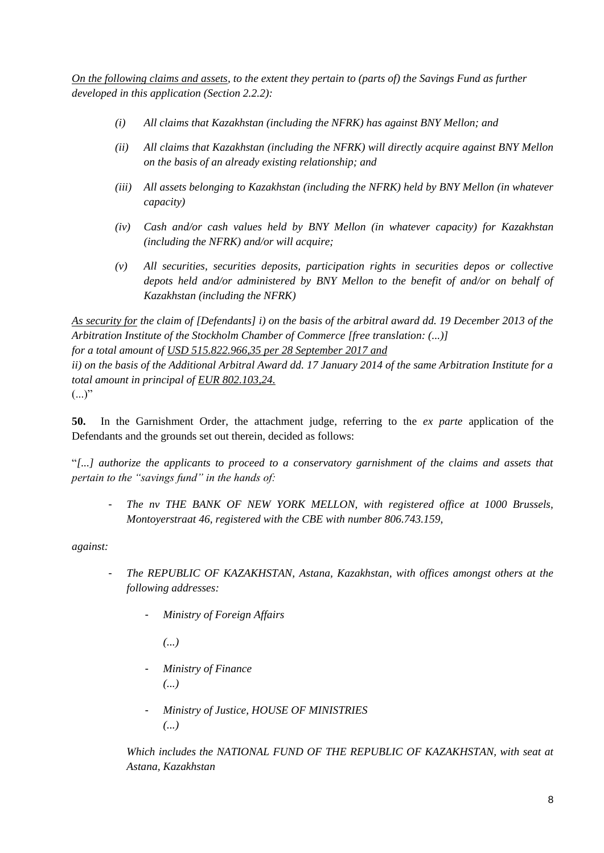*On the following claims and assets, to the extent they pertain to (parts of) the Savings Fund as further developed in this application (Section 2.2.2):*

- *(i) All claims that Kazakhstan (including the NFRK) has against BNY Mellon; and*
- *(ii) All claims that Kazakhstan (including the NFRK) will directly acquire against BNY Mellon on the basis of an already existing relationship; and*
- *(iii) All assets belonging to Kazakhstan (including the NFRK) held by BNY Mellon (in whatever capacity)*
- *(iv) Cash and/or cash values held by BNY Mellon (in whatever capacity) for Kazakhstan (including the NFRK) and/or will acquire;*
- *(v) All securities, securities deposits, participation rights in securities depos or collective depots held and/or administered by BNY Mellon to the benefit of and/or on behalf of Kazakhstan (including the NFRK)*

*As security for the claim of [Defendants] i) on the basis of the arbitral award dd. 19 December 2013 of the Arbitration Institute of the Stockholm Chamber of Commerce [free translation: (...)] for a total amount of USD 515.822.966,35 per 28 September 2017 and ii) on the basis of the Additional Arbitral Award dd. 17 January 2014 of the same Arbitration Institute for a* 

 $(...)$ "

**50.** In the Garnishment Order, the attachment judge, referring to the *ex parte* application of the Defendants and the grounds set out therein, decided as follows:

"*[...] authorize the applicants to proceed to a conservatory garnishment of the claims and assets that pertain to the "savings fund" in the hands of:*

- *The nv THE BANK OF NEW YORK MELLON, with registered office at 1000 Brussels, Montoyerstraat 46, registered with the CBE with number 806.743.159,*

*against:*

- *The REPUBLIC OF KAZAKHSTAN, Astana, Kazakhstan, with offices amongst others at the following addresses:*
	- *Ministry of Foreign Affairs*

*(...)*

*total amount in principal of EUR 802.103,24.*

- *Ministry of Finance (...)*
- *Ministry of Justice, HOUSE OF MINISTRIES (...)*

Which includes the NATIONAL FUND OF THE REPUBLIC OF KAZAKHSTAN, with seat at *Astana, Kazakhstan*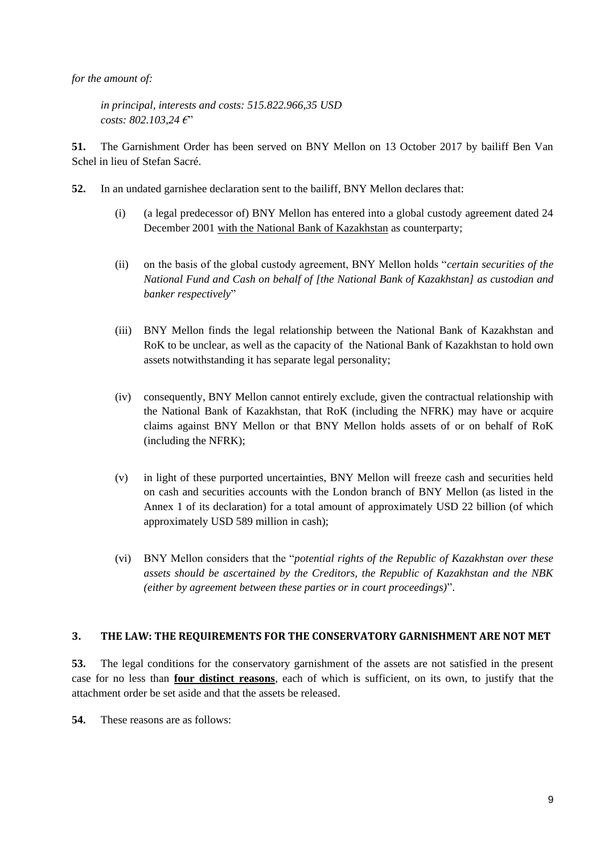*for the amount of:*

*in principal, interests and costs: 515.822.966,35 USD costs: 802.103,24 €*"

**51.** The Garnishment Order has been served on BNY Mellon on 13 October 2017 by bailiff Ben Van Schel in lieu of Stefan Sacré.

- **52.** In an undated garnishee declaration sent to the bailiff, BNY Mellon declares that:
	- (i) (a legal predecessor of) BNY Mellon has entered into a global custody agreement dated 24 December 2001 with the National Bank of Kazakhstan as counterparty;
	- (ii) on the basis of the global custody agreement, BNY Mellon holds "*certain securities of the National Fund and Cash on behalf of [the National Bank of Kazakhstan] as custodian and banker respectively*"
	- (iii) BNY Mellon finds the legal relationship between the National Bank of Kazakhstan and RoK to be unclear, as well as the capacity of the National Bank of Kazakhstan to hold own assets notwithstanding it has separate legal personality;
	- (iv) consequently, BNY Mellon cannot entirely exclude, given the contractual relationship with the National Bank of Kazakhstan, that RoK (including the NFRK) may have or acquire claims against BNY Mellon or that BNY Mellon holds assets of or on behalf of RoK (including the NFRK);
	- (v) in light of these purported uncertainties, BNY Mellon will freeze cash and securities held on cash and securities accounts with the London branch of BNY Mellon (as listed in the Annex 1 of its declaration) for a total amount of approximately USD 22 billion (of which approximately USD 589 million in cash);
	- (vi) BNY Mellon considers that the "*potential rights of the Republic of Kazakhstan over these assets should be ascertained by the Creditors, the Republic of Kazakhstan and the NBK (either by agreement between these parties or in court proceedings)*".

### **3. THE LAW: THE REQUIREMENTS FOR THE CONSERVATORY GARNISHMENT ARE NOT MET**

**53.** The legal conditions for the conservatory garnishment of the assets are not satisfied in the present case for no less than **four distinct reasons**, each of which is sufficient, on its own, to justify that the attachment order be set aside and that the assets be released.

**54.** These reasons are as follows: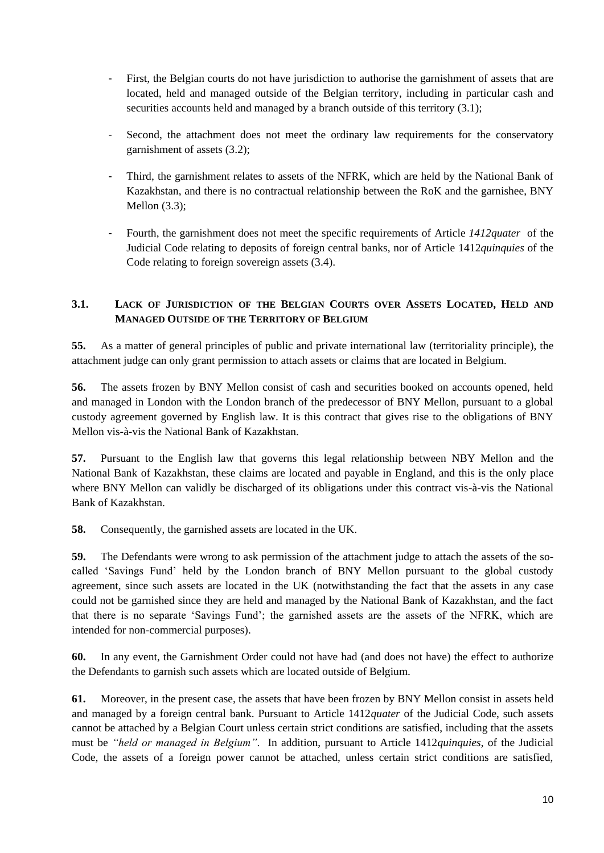- First, the Belgian courts do not have jurisdiction to authorise the garnishment of assets that are located, held and managed outside of the Belgian territory, including in particular cash and securities accounts held and managed by a branch outside of this territory (3.1);
- Second, the attachment does not meet the ordinary law requirements for the conservatory garnishment of assets (3.2);
- Third, the garnishment relates to assets of the NFRK, which are held by the National Bank of Kazakhstan, and there is no contractual relationship between the RoK and the garnishee, BNY Mellon (3.3);
- Fourth, the garnishment does not meet the specific requirements of Article *1412quater* of the Judicial Code relating to deposits of foreign central banks, nor of Article 1412*quinquies* of the Code relating to foreign sovereign assets (3.4).

# **3.1. LACK OF JURISDICTION OF THE BELGIAN COURTS OVER ASSETS LOCATED, HELD AND MANAGED OUTSIDE OF THE TERRITORY OF BELGIUM**

**55.** As a matter of general principles of public and private international law (territoriality principle), the attachment judge can only grant permission to attach assets or claims that are located in Belgium.

**56.** The assets frozen by BNY Mellon consist of cash and securities booked on accounts opened, held and managed in London with the London branch of the predecessor of BNY Mellon, pursuant to a global custody agreement governed by English law. It is this contract that gives rise to the obligations of BNY Mellon vis-à-vis the National Bank of Kazakhstan.

**57.** Pursuant to the English law that governs this legal relationship between NBY Mellon and the National Bank of Kazakhstan, these claims are located and payable in England, and this is the only place where BNY Mellon can validly be discharged of its obligations under this contract vis-à-vis the National Bank of Kazakhstan.

**58.** Consequently, the garnished assets are located in the UK.

**59.** The Defendants were wrong to ask permission of the attachment judge to attach the assets of the socalled 'Savings Fund' held by the London branch of BNY Mellon pursuant to the global custody agreement, since such assets are located in the UK (notwithstanding the fact that the assets in any case could not be garnished since they are held and managed by the National Bank of Kazakhstan, and the fact that there is no separate 'Savings Fund'; the garnished assets are the assets of the NFRK, which are intended for non-commercial purposes).

**60.** In any event, the Garnishment Order could not have had (and does not have) the effect to authorize the Defendants to garnish such assets which are located outside of Belgium.

**61.** Moreover, in the present case, the assets that have been frozen by BNY Mellon consist in assets held and managed by a foreign central bank. Pursuant to Article 1412*quater* of the Judicial Code, such assets cannot be attached by a Belgian Court unless certain strict conditions are satisfied, including that the assets must be *"held or managed in Belgium"*. In addition, pursuant to Article 1412*quinquies*, of the Judicial Code, the assets of a foreign power cannot be attached, unless certain strict conditions are satisfied,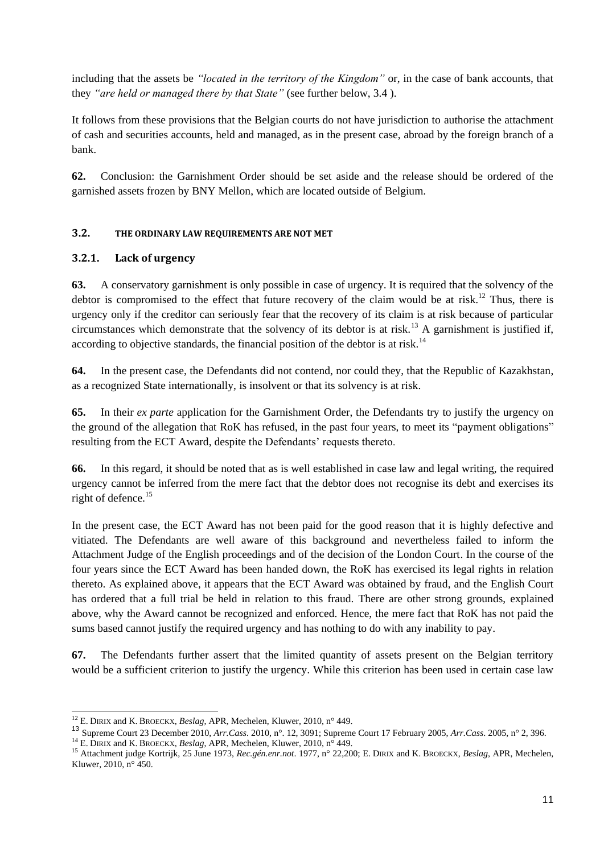including that the assets be *"located in the territory of the Kingdom"* or, in the case of bank accounts, that they *"are held or managed there by that State"* (see further below, 3.4 ).

It follows from these provisions that the Belgian courts do not have jurisdiction to authorise the attachment of cash and securities accounts, held and managed, as in the present case, abroad by the foreign branch of a bank.

**62.** Conclusion: the Garnishment Order should be set aside and the release should be ordered of the garnished assets frozen by BNY Mellon, which are located outside of Belgium.

### **3.2. THE ORDINARY LAW REQUIREMENTS ARE NOT MET**

### **3.2.1. Lack of urgency**

**63.** A conservatory garnishment is only possible in case of urgency. It is required that the solvency of the debtor is compromised to the effect that future recovery of the claim would be at risk.<sup>12</sup> Thus, there is urgency only if the creditor can seriously fear that the recovery of its claim is at risk because of particular circumstances which demonstrate that the solvency of its debtor is at risk.<sup>13</sup> A garnishment is justified if, according to objective standards, the financial position of the debtor is at risk.<sup>14</sup>

**64.** In the present case, the Defendants did not contend, nor could they, that the Republic of Kazakhstan, as a recognized State internationally, is insolvent or that its solvency is at risk.

**65.** In their *ex parte* application for the Garnishment Order, the Defendants try to justify the urgency on the ground of the allegation that RoK has refused, in the past four years, to meet its "payment obligations" resulting from the ECT Award, despite the Defendants' requests thereto.

**66.** In this regard, it should be noted that as is well established in case law and legal writing, the required urgency cannot be inferred from the mere fact that the debtor does not recognise its debt and exercises its right of defence.<sup>15</sup>

In the present case, the ECT Award has not been paid for the good reason that it is highly defective and vitiated. The Defendants are well aware of this background and nevertheless failed to inform the Attachment Judge of the English proceedings and of the decision of the London Court. In the course of the four years since the ECT Award has been handed down, the RoK has exercised its legal rights in relation thereto. As explained above, it appears that the ECT Award was obtained by fraud, and the English Court has ordered that a full trial be held in relation to this fraud. There are other strong grounds, explained above, why the Award cannot be recognized and enforced. Hence, the mere fact that RoK has not paid the sums based cannot justify the required urgency and has nothing to do with any inability to pay.

**67.** The Defendants further assert that the limited quantity of assets present on the Belgian territory would be a sufficient criterion to justify the urgency. While this criterion has been used in certain case law

1

<sup>12</sup> E. DIRIX and K. BROECKX, *Beslag*, APR, Mechelen, Kluwer, 2010, n° 449.

<sup>13</sup> Supreme Court 23 December 2010, *Arr.Cass*. 2010, n°. 12, 3091; Supreme Court 17 February 2005, *Arr.Cass*. 2005, n° 2, 396.

<sup>14</sup> E. DIRIX and K. BROECKX, *Beslag*, APR, Mechelen, Kluwer, 2010, n° 449.

<sup>15</sup> Attachment judge Kortrijk, 25 June 1973, *Rec.gén.enr.not*. 1977, n° 22,200; E. DIRIX and K. BROECKX, *Beslag*, APR, Mechelen, Kluwer, 2010, n° 450.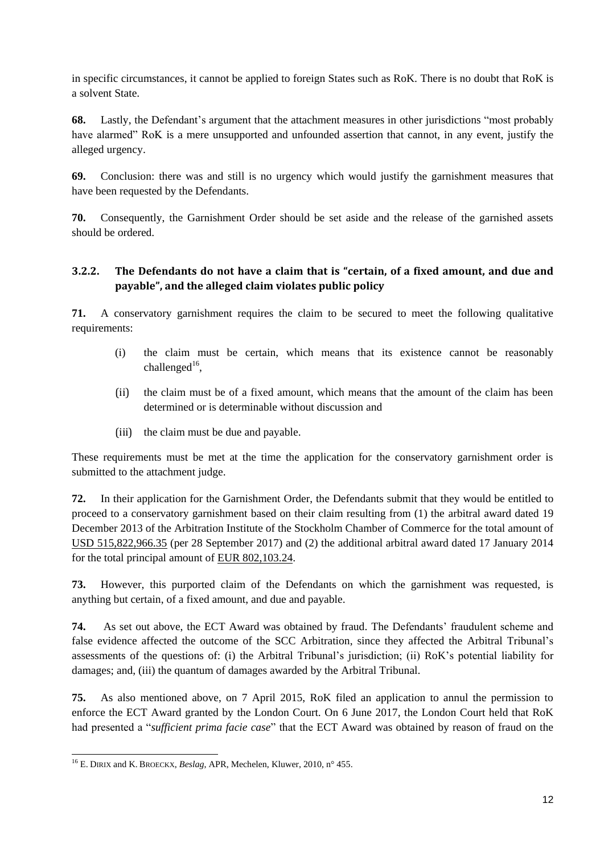in specific circumstances, it cannot be applied to foreign States such as RoK. There is no doubt that RoK is a solvent State.

**68.** Lastly, the Defendant's argument that the attachment measures in other jurisdictions "most probably have alarmed" RoK is a mere unsupported and unfounded assertion that cannot, in any event, justify the alleged urgency.

**69.** Conclusion: there was and still is no urgency which would justify the garnishment measures that have been requested by the Defendants.

**70.** Consequently, the Garnishment Order should be set aside and the release of the garnished assets should be ordered.

# **3.2.2. The Defendants do not have a claim that is "certain, of a fixed amount, and due and payable", and the alleged claim violates public policy**

**71.** A conservatory garnishment requires the claim to be secured to meet the following qualitative requirements:

- (i) the claim must be certain, which means that its existence cannot be reasonably challenged $^{16}$ ,
- (ii) the claim must be of a fixed amount, which means that the amount of the claim has been determined or is determinable without discussion and
- (iii) the claim must be due and payable.

These requirements must be met at the time the application for the conservatory garnishment order is submitted to the attachment judge.

**72.** In their application for the Garnishment Order, the Defendants submit that they would be entitled to proceed to a conservatory garnishment based on their claim resulting from (1) the arbitral award dated 19 December 2013 of the Arbitration Institute of the Stockholm Chamber of Commerce for the total amount of USD 515,822,966.35 (per 28 September 2017) and (2) the additional arbitral award dated 17 January 2014 for the total principal amount of EUR 802,103.24.

**73.** However, this purported claim of the Defendants on which the garnishment was requested, is anything but certain, of a fixed amount, and due and payable.

**74.** As set out above, the ECT Award was obtained by fraud. The Defendants' fraudulent scheme and false evidence affected the outcome of the SCC Arbitration, since they affected the Arbitral Tribunal's assessments of the questions of: (i) the Arbitral Tribunal's jurisdiction; (ii) RoK's potential liability for damages; and, (iii) the quantum of damages awarded by the Arbitral Tribunal.

**75.** As also mentioned above, on 7 April 2015, RoK filed an application to annul the permission to enforce the ECT Award granted by the London Court. On 6 June 2017, the London Court held that RoK had presented a "*sufficient prima facie case*" that the ECT Award was obtained by reason of fraud on the

<sup>-</sup><sup>16</sup> E. DIRIX and K. BROECKX, *Beslag*, APR, Mechelen, Kluwer, 2010, n° 455.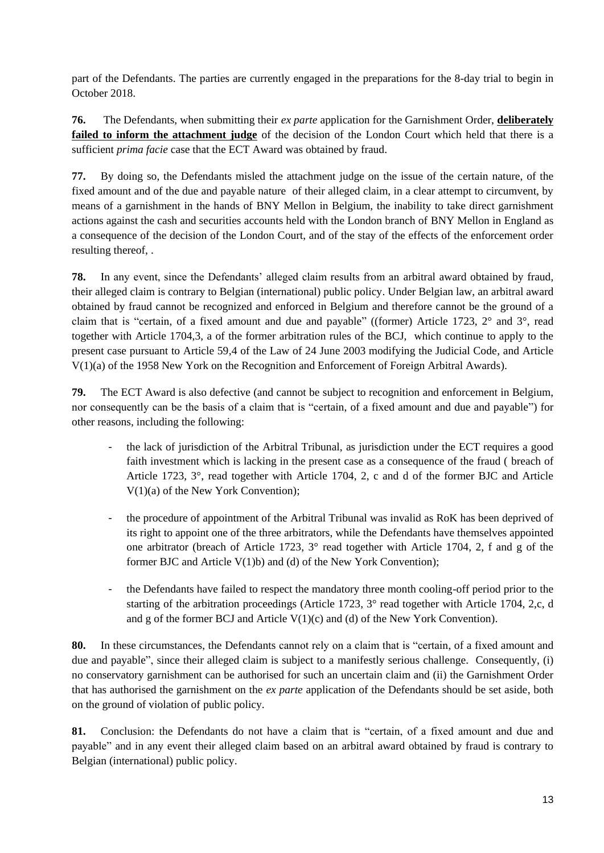part of the Defendants. The parties are currently engaged in the preparations for the 8-day trial to begin in October 2018.

**76.** The Defendants, when submitting their *ex parte* application for the Garnishment Order, **deliberately failed to inform the attachment judge** of the decision of the London Court which held that there is a sufficient *prima facie* case that the ECT Award was obtained by fraud.

**77.** By doing so, the Defendants misled the attachment judge on the issue of the certain nature, of the fixed amount and of the due and payable nature of their alleged claim, in a clear attempt to circumvent, by means of a garnishment in the hands of BNY Mellon in Belgium, the inability to take direct garnishment actions against the cash and securities accounts held with the London branch of BNY Mellon in England as a consequence of the decision of the London Court, and of the stay of the effects of the enforcement order resulting thereof, .

**78.** In any event, since the Defendants' alleged claim results from an arbitral award obtained by fraud, their alleged claim is contrary to Belgian (international) public policy. Under Belgian law, an arbitral award obtained by fraud cannot be recognized and enforced in Belgium and therefore cannot be the ground of a claim that is "certain, of a fixed amount and due and payable" ((former) Article 1723, 2° and 3°, read together with Article 1704,3, a of the former arbitration rules of the BCJ, which continue to apply to the present case pursuant to Article 59,4 of the Law of 24 June 2003 modifying the Judicial Code, and Article V(1)(a) of the 1958 New York on the Recognition and Enforcement of Foreign Arbitral Awards).

**79.** The ECT Award is also defective (and cannot be subject to recognition and enforcement in Belgium, nor consequently can be the basis of a claim that is "certain, of a fixed amount and due and payable") for other reasons, including the following:

- the lack of jurisdiction of the Arbitral Tribunal, as jurisdiction under the ECT requires a good faith investment which is lacking in the present case as a consequence of the fraud ( breach of Article 1723, 3°, read together with Article 1704, 2, c and d of the former BJC and Article V(1)(a) of the New York Convention);
- the procedure of appointment of the Arbitral Tribunal was invalid as RoK has been deprived of its right to appoint one of the three arbitrators, while the Defendants have themselves appointed one arbitrator (breach of Article 1723,  $3^{\circ}$  read together with Article 1704, 2, f and g of the former BJC and Article V(1)b) and (d) of the New York Convention);
- the Defendants have failed to respect the mandatory three month cooling-off period prior to the starting of the arbitration proceedings (Article 1723, 3° read together with Article 1704, 2,c, d and g of the former BCJ and Article  $V(1)(c)$  and (d) of the New York Convention).

**80.** In these circumstances, the Defendants cannot rely on a claim that is "certain, of a fixed amount and due and payable", since their alleged claim is subject to a manifestly serious challenge. Consequently, (i) no conservatory garnishment can be authorised for such an uncertain claim and (ii) the Garnishment Order that has authorised the garnishment on the *ex parte* application of the Defendants should be set aside, both on the ground of violation of public policy.

**81.** Conclusion: the Defendants do not have a claim that is "certain, of a fixed amount and due and payable" and in any event their alleged claim based on an arbitral award obtained by fraud is contrary to Belgian (international) public policy.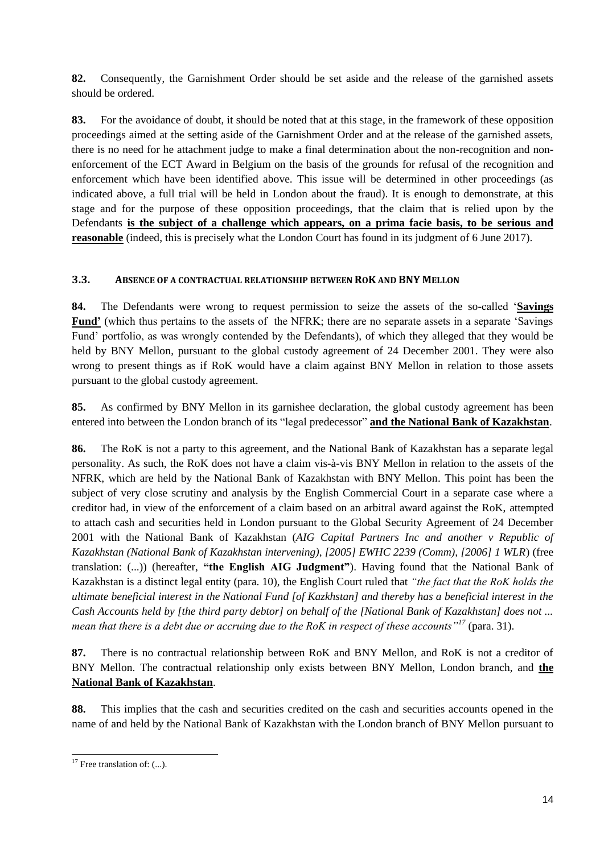**82.** Consequently, the Garnishment Order should be set aside and the release of the garnished assets should be ordered.

**83.** For the avoidance of doubt, it should be noted that at this stage, in the framework of these opposition proceedings aimed at the setting aside of the Garnishment Order and at the release of the garnished assets, there is no need for he attachment judge to make a final determination about the non-recognition and nonenforcement of the ECT Award in Belgium on the basis of the grounds for refusal of the recognition and enforcement which have been identified above. This issue will be determined in other proceedings (as indicated above, a full trial will be held in London about the fraud). It is enough to demonstrate, at this stage and for the purpose of these opposition proceedings, that the claim that is relied upon by the Defendants **is the subject of a challenge which appears, on a prima facie basis, to be serious and reasonable** (indeed, this is precisely what the London Court has found in its judgment of 6 June 2017).

### **3.3. ABSENCE OF A CONTRACTUAL RELATIONSHIP BETWEEN ROK AND BNY MELLON**

**84.** The Defendants were wrong to request permission to seize the assets of the so-called '**Savings Fund'** (which thus pertains to the assets of the NFRK; there are no separate assets in a separate 'Savings Fund' portfolio, as was wrongly contended by the Defendants), of which they alleged that they would be held by BNY Mellon, pursuant to the global custody agreement of 24 December 2001. They were also wrong to present things as if RoK would have a claim against BNY Mellon in relation to those assets pursuant to the global custody agreement.

**85.** As confirmed by BNY Mellon in its garnishee declaration, the global custody agreement has been entered into between the London branch of its "legal predecessor" **and the National Bank of Kazakhstan**.

**86.** The RoK is not a party to this agreement, and the National Bank of Kazakhstan has a separate legal personality. As such, the RoK does not have a claim vis-à-vis BNY Mellon in relation to the assets of the NFRK, which are held by the National Bank of Kazakhstan with BNY Mellon. This point has been the subject of very close scrutiny and analysis by the English Commercial Court in a separate case where a creditor had, in view of the enforcement of a claim based on an arbitral award against the RoK, attempted to attach cash and securities held in London pursuant to the Global Security Agreement of 24 December 2001 with the National Bank of Kazakhstan (*AIG Capital Partners Inc and another v Republic of Kazakhstan (National Bank of Kazakhstan intervening), [2005] EWHC 2239 (Comm), [2006] 1 WLR*) (free translation: (...)) (hereafter, **"the English AIG Judgment"**). Having found that the National Bank of Kazakhstan is a distinct legal entity (para. 10), the English Court ruled that *"the fact that the RoK holds the ultimate beneficial interest in the National Fund [of Kazkhstan] and thereby has a beneficial interest in the Cash Accounts held by [the third party debtor] on behalf of the [National Bank of Kazakhstan] does not ... mean that there is a debt due or accruing due to the RoK in respect of these accounts"<sup>17</sup>* (para. 31).

**87.** There is no contractual relationship between RoK and BNY Mellon, and RoK is not a creditor of BNY Mellon. The contractual relationship only exists between BNY Mellon, London branch, and **the National Bank of Kazakhstan**.

**88.** This implies that the cash and securities credited on the cash and securities accounts opened in the name of and held by the National Bank of Kazakhstan with the London branch of BNY Mellon pursuant to

<sup>-</sup> $17$  Free translation of: (...).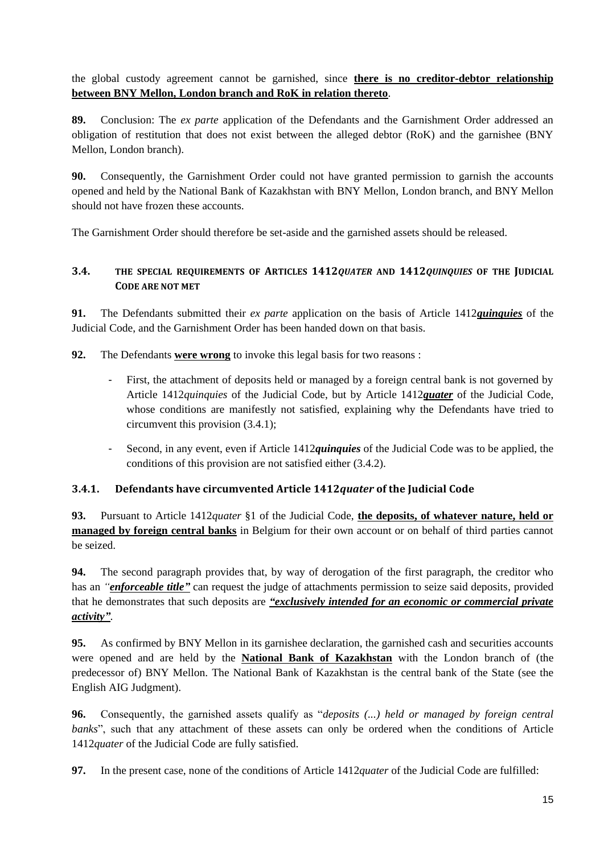the global custody agreement cannot be garnished, since **there is no creditor-debtor relationship between BNY Mellon, London branch and RoK in relation thereto**.

**89.** Conclusion: The *ex parte* application of the Defendants and the Garnishment Order addressed an obligation of restitution that does not exist between the alleged debtor (RoK) and the garnishee (BNY Mellon, London branch).

**90.** Consequently, the Garnishment Order could not have granted permission to garnish the accounts opened and held by the National Bank of Kazakhstan with BNY Mellon, London branch, and BNY Mellon should not have frozen these accounts.

The Garnishment Order should therefore be set-aside and the garnished assets should be released.

# **3.4. THE SPECIAL REQUIREMENTS OF ARTICLES 1412***QUATER* **AND 1412***QUINQUIES* **OF THE JUDICIAL CODE ARE NOT MET**

**91.** The Defendants submitted their *ex parte* application on the basis of Article 1412*quinquies* of the Judicial Code, and the Garnishment Order has been handed down on that basis.

**92.** The Defendants **were wrong** to invoke this legal basis for two reasons :

- First, the attachment of deposits held or managed by a foreign central bank is not governed by Article 1412*quinquies* of the Judicial Code, but by Article 1412*quater* of the Judicial Code, whose conditions are manifestly not satisfied, explaining why the Defendants have tried to circumvent this provision (3.4.1);
- Second, in any event, even if Article 1412*quinquies* of the Judicial Code was to be applied, the conditions of this provision are not satisfied either (3.4.2).

# **3.4.1. Defendants have circumvented Article 1412***quater* **of the Judicial Code**

**93.** Pursuant to Article 1412*quater* §1 of the Judicial Code, **the deposits, of whatever nature, held or managed by foreign central banks** in Belgium for their own account or on behalf of third parties cannot be seized.

**94.** The second paragraph provides that, by way of derogation of the first paragraph, the creditor who has an *"enforceable title"* can request the judge of attachments permission to seize said deposits, provided that he demonstrates that such deposits are *"exclusively intended for an economic or commercial private activity"*.

**95.** As confirmed by BNY Mellon in its garnishee declaration, the garnished cash and securities accounts were opened and are held by the **National Bank of Kazakhstan** with the London branch of (the predecessor of) BNY Mellon. The National Bank of Kazakhstan is the central bank of the State (see the English AIG Judgment).

**96.** Consequently, the garnished assets qualify as "*deposits (...) held or managed by foreign central banks*", such that any attachment of these assets can only be ordered when the conditions of Article 1412*quater* of the Judicial Code are fully satisfied.

**97.** In the present case, none of the conditions of Article 1412*quater* of the Judicial Code are fulfilled: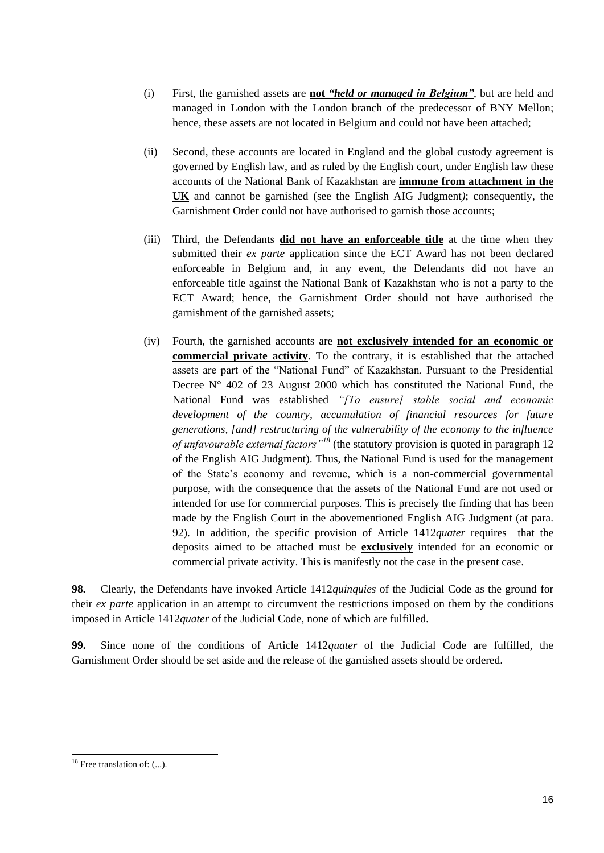- (i) First, the garnished assets are **not** *"held or managed in Belgium"*, but are held and managed in London with the London branch of the predecessor of BNY Mellon; hence, these assets are not located in Belgium and could not have been attached;
- (ii) Second, these accounts are located in England and the global custody agreement is governed by English law, and as ruled by the English court, under English law these accounts of the National Bank of Kazakhstan are **immune from attachment in the UK** and cannot be garnished (see the English AIG Judgment*)*; consequently, the Garnishment Order could not have authorised to garnish those accounts;
- (iii) Third, the Defendants **did not have an enforceable title** at the time when they submitted their *ex parte* application since the ECT Award has not been declared enforceable in Belgium and, in any event, the Defendants did not have an enforceable title against the National Bank of Kazakhstan who is not a party to the ECT Award; hence, the Garnishment Order should not have authorised the garnishment of the garnished assets;
- (iv) Fourth, the garnished accounts are **not exclusively intended for an economic or commercial private activity**. To the contrary, it is established that the attached assets are part of the "National Fund" of Kazakhstan. Pursuant to the Presidential Decree  $N^{\circ}$  402 of 23 August 2000 which has constituted the National Fund, the National Fund was established *"[To ensure] stable social and economic development of the country, accumulation of financial resources for future generations, [and] restructuring of the vulnerability of the economy to the influence of unfavourable external factors"<sup>18</sup>* (the statutory provision is quoted in paragraph 12 of the English AIG Judgment). Thus, the National Fund is used for the management of the State's economy and revenue, which is a non-commercial governmental purpose, with the consequence that the assets of the National Fund are not used or intended for use for commercial purposes. This is precisely the finding that has been made by the English Court in the abovementioned English AIG Judgment (at para. 92). In addition, the specific provision of Article 1412*quater* requires that the deposits aimed to be attached must be **exclusively** intended for an economic or commercial private activity. This is manifestly not the case in the present case.

**98.** Clearly, the Defendants have invoked Article 1412*quinquies* of the Judicial Code as the ground for their *ex parte* application in an attempt to circumvent the restrictions imposed on them by the conditions imposed in Article 1412*quater* of the Judicial Code, none of which are fulfilled.

**99.** Since none of the conditions of Article 1412*quater* of the Judicial Code are fulfilled, the Garnishment Order should be set aside and the release of the garnished assets should be ordered.

-

 $18$  Free translation of: (...).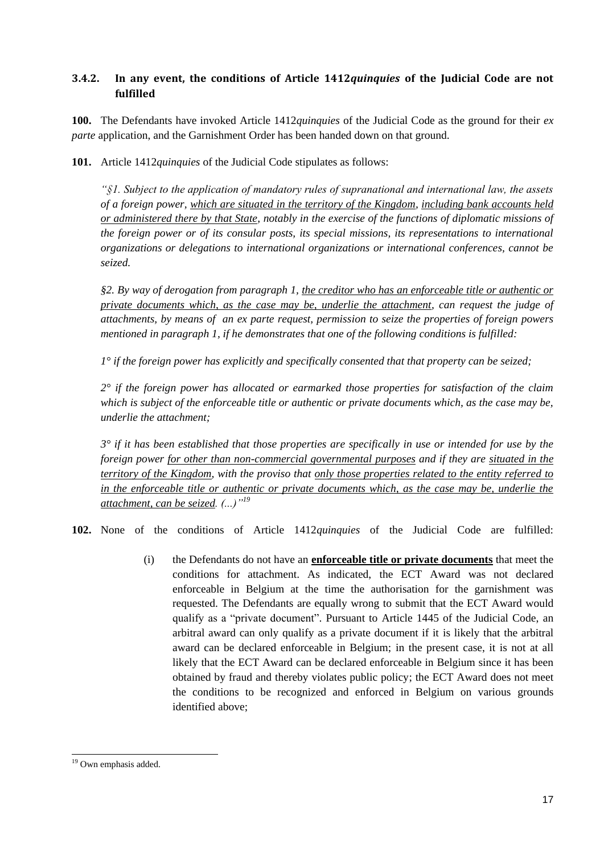## **3.4.2. In any event, the conditions of Article 1412***quinquies* **of the Judicial Code are not fulfilled**

**100.** The Defendants have invoked Article 1412*quinquies* of the Judicial Code as the ground for their *ex parte* application, and the Garnishment Order has been handed down on that ground.

**101.** Article 1412*quinquies* of the Judicial Code stipulates as follows:

*"§1. Subject to the application of mandatory rules of supranational and international law, the assets of a foreign power, which are situated in the territory of the Kingdom, including bank accounts held or administered there by that State, notably in the exercise of the functions of diplomatic missions of the foreign power or of its consular posts, its special missions, its representations to international organizations or delegations to international organizations or international conferences, cannot be seized.*

*§2. By way of derogation from paragraph 1, the creditor who has an enforceable title or authentic or private documents which, as the case may be, underlie the attachment, can request the judge of attachments, by means of an ex parte request, permission to seize the properties of foreign powers mentioned in paragraph 1, if he demonstrates that one of the following conditions is fulfilled:*

*1° if the foreign power has explicitly and specifically consented that that property can be seized;*

*2° if the foreign power has allocated or earmarked those properties for satisfaction of the claim which is subject of the enforceable title or authentic or private documents which, as the case may be, underlie the attachment;*

*3° if it has been established that those properties are specifically in use or intended for use by the foreign power for other than non-commercial governmental purposes and if they are situated in the territory of the Kingdom, with the proviso that only those properties related to the entity referred to in the enforceable title or authentic or private documents which, as the case may be, underlie the attachment, can be seized. (...)"<sup>19</sup>* 

**102.** None of the conditions of Article 1412*quinquies* of the Judicial Code are fulfilled:

(i) the Defendants do not have an **enforceable title or private documents** that meet the conditions for attachment. As indicated, the ECT Award was not declared enforceable in Belgium at the time the authorisation for the garnishment was requested. The Defendants are equally wrong to submit that the ECT Award would qualify as a "private document". Pursuant to Article 1445 of the Judicial Code, an arbitral award can only qualify as a private document if it is likely that the arbitral award can be declared enforceable in Belgium; in the present case, it is not at all likely that the ECT Award can be declared enforceable in Belgium since it has been obtained by fraud and thereby violates public policy; the ECT Award does not meet the conditions to be recognized and enforced in Belgium on various grounds identified above;

<sup>-</sup><sup>19</sup> Own emphasis added.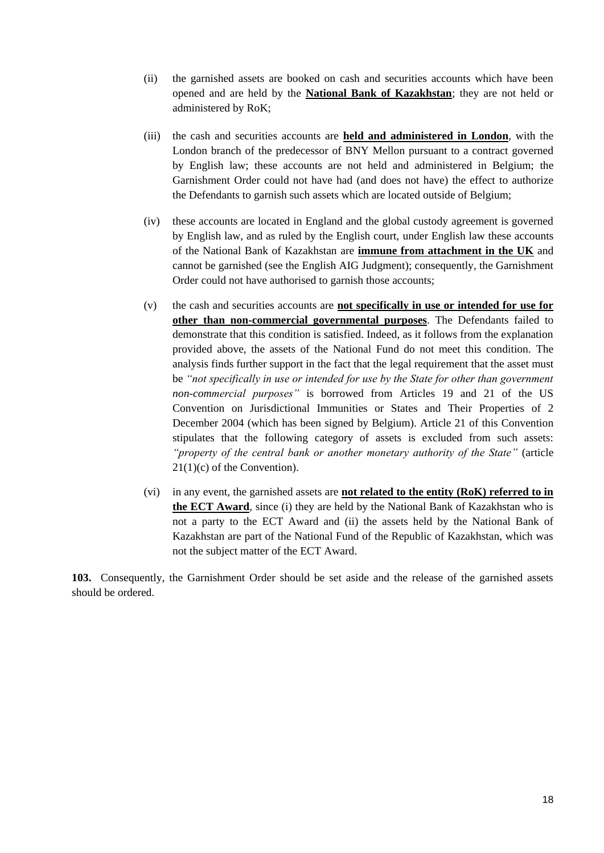- (ii) the garnished assets are booked on cash and securities accounts which have been opened and are held by the **National Bank of Kazakhstan**; they are not held or administered by RoK;
- (iii) the cash and securities accounts are **held and administered in London**, with the London branch of the predecessor of BNY Mellon pursuant to a contract governed by English law; these accounts are not held and administered in Belgium; the Garnishment Order could not have had (and does not have) the effect to authorize the Defendants to garnish such assets which are located outside of Belgium;
- (iv) these accounts are located in England and the global custody agreement is governed by English law, and as ruled by the English court, under English law these accounts of the National Bank of Kazakhstan are **immune from attachment in the UK** and cannot be garnished (see the English AIG Judgment); consequently, the Garnishment Order could not have authorised to garnish those accounts;
- (v) the cash and securities accounts are **not specifically in use or intended for use for other than non-commercial governmental purposes**. The Defendants failed to demonstrate that this condition is satisfied. Indeed, as it follows from the explanation provided above, the assets of the National Fund do not meet this condition. The analysis finds further support in the fact that the legal requirement that the asset must be *"not specifically in use or intended for use by the State for other than government non-commercial purposes"* is borrowed from Articles 19 and 21 of the US Convention on Jurisdictional Immunities or States and Their Properties of 2 December 2004 (which has been signed by Belgium). Article 21 of this Convention stipulates that the following category of assets is excluded from such assets: *"property of the central bank or another monetary authority of the State"* (article 21(1)(c) of the Convention).
- (vi) in any event, the garnished assets are **not related to the entity (RoK) referred to in the ECT Award**, since (i) they are held by the National Bank of Kazakhstan who is not a party to the ECT Award and (ii) the assets held by the National Bank of Kazakhstan are part of the National Fund of the Republic of Kazakhstan, which was not the subject matter of the ECT Award.

**103.** Consequently, the Garnishment Order should be set aside and the release of the garnished assets should be ordered.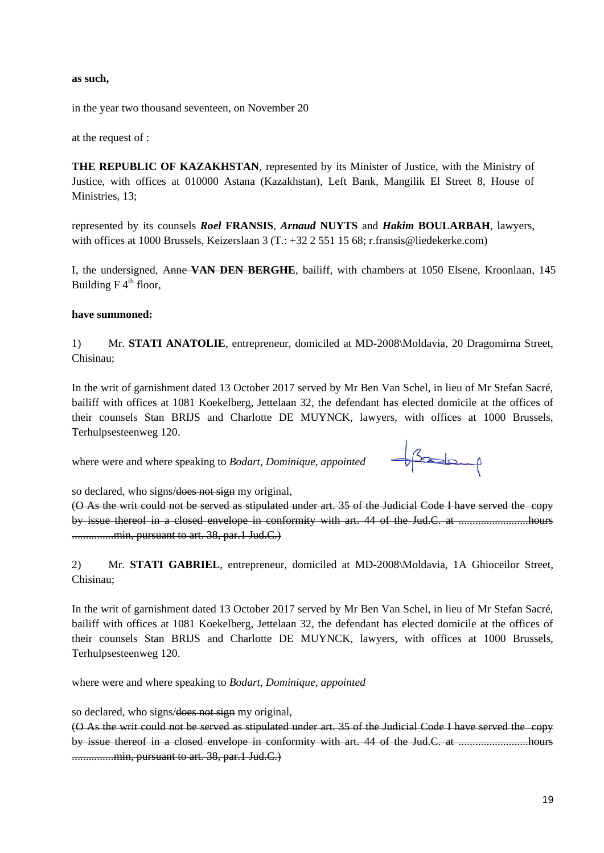#### **as such,**

in the year two thousand seventeen, on November 20

at the request of :

**THE REPUBLIC OF KAZAKHSTAN**, represented by its Minister of Justice, with the Ministry of Justice, with offices at 010000 Astana (Kazakhstan), Left Bank, Mangilik El Street 8, House of Ministries, 13;

represented by its counsels *Roel* **FRANSIS**, *Arnaud* **NUYTS** and *Hakim* **BOULARBAH**, lawyers, with offices at 1000 Brussels, Keizerslaan 3 (T.: +32 2 551 15 68; r.fransis@liedekerke.com)

I, the undersigned, Anne **VAN DEN BERGHE**, bailiff, with chambers at 1050 Elsene, Kroonlaan, 145 Building  $F 4<sup>th</sup>$  floor,

#### **have summoned:**

1) Mr. **STATI ANATOLIE**, entrepreneur, domiciled at MD-2008\Moldavia, 20 Dragomirna Street, Chisinau;

In the writ of garnishment dated 13 October 2017 served by Mr Ben Van Schel, in lieu of Mr Stefan Sacré, bailiff with offices at 1081 Koekelberg, Jettelaan 32, the defendant has elected domicile at the offices of their counsels Stan BRIJS and Charlotte DE MUYNCK, lawyers, with offices at 1000 Brussels, Terhulpsesteenweg 120.

where were and where speaking to *Bodart, Dominique, appointed*



so declared, who signs/does not sign my original,

(O As the writ could not be served as stipulated under art. 35 of the Judicial Code I have served the copy by issue thereof in a closed envelope in conformity with art. 44 of the Jud.C. at ...........................hours .................min, pursuant to art. 38, par.1 Jud.C.)

2) Mr. **STATI GABRIEL**, entrepreneur, domiciled at MD-2008\Moldavia, 1A Ghioceilor Street, Chisinau;

In the writ of garnishment dated 13 October 2017 served by Mr Ben Van Schel, in lieu of Mr Stefan Sacré, bailiff with offices at 1081 Koekelberg, Jettelaan 32, the defendant has elected domicile at the offices of their counsels Stan BRIJS and Charlotte DE MUYNCK, lawyers, with offices at 1000 Brussels, Terhulpsesteenweg 120.

where were and where speaking to *Bodart, Dominique, appointed*

so declared, who signs/does not sign my original,

(O As the writ could not be served as stipulated under art. 35 of the Judicial Code I have served the copy by issue thereof in a closed envelope in conformity with art. 44 of the Jud.C. at .........................hours .................min, pursuant to art. 38, par.1 Jud.C.)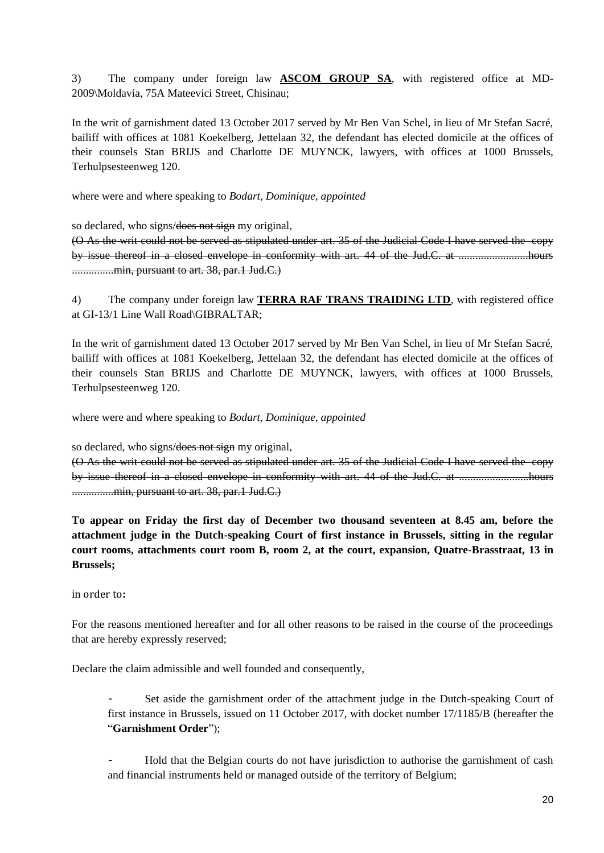3) The company under foreign law **ASCOM GROUP SA**, with registered office at MD-2009\Moldavia, 75A Mateevici Street, Chisinau;

In the writ of garnishment dated 13 October 2017 served by Mr Ben Van Schel, in lieu of Mr Stefan Sacré, bailiff with offices at 1081 Koekelberg, Jettelaan 32, the defendant has elected domicile at the offices of their counsels Stan BRIJS and Charlotte DE MUYNCK, lawyers, with offices at 1000 Brussels, Terhulpsesteenweg 120.

where were and where speaking to *Bodart, Dominique, appointed*

so declared, who signs/does not sign my original,

(O As the writ could not be served as stipulated under art. 35 of the Judicial Code I have served the copy by issue thereof in a closed envelope in conformity with art. 44 of the Jud.C. at .........................hours ..................min, pursuant to art. 38, par.1 Jud.C.)

4) The company under foreign law **TERRA RAF TRANS TRAIDING LTD**, with registered office at GI-13/1 Line Wall Road\GIBRALTAR;

In the writ of garnishment dated 13 October 2017 served by Mr Ben Van Schel, in lieu of Mr Stefan Sacré, bailiff with offices at 1081 Koekelberg, Jettelaan 32, the defendant has elected domicile at the offices of their counsels Stan BRIJS and Charlotte DE MUYNCK, lawyers, with offices at 1000 Brussels, Terhulpsesteenweg 120.

where were and where speaking to *Bodart, Dominique, appointed*

so declared, who signs/does not sign my original,

(O As the writ could not be served as stipulated under art. 35 of the Judicial Code I have served the copy by issue thereof in a closed envelope in conformity with art. 44 of the Jud.C. at .........................hours ...............min, pursuant to art. 38, par.1 Jud.C.)

**To appear on Friday the first day of December two thousand seventeen at 8.45 am, before the attachment judge in the Dutch-speaking Court of first instance in Brussels, sitting in the regular court rooms, attachments court room B, room 2, at the court, expansion, Quatre-Brasstraat, 13 in Brussels;**

in order to**:**

For the reasons mentioned hereafter and for all other reasons to be raised in the course of the proceedings that are hereby expressly reserved;

Declare the claim admissible and well founded and consequently,

Set aside the garnishment order of the attachment judge in the Dutch-speaking Court of first instance in Brussels, issued on 11 October 2017, with docket number 17/1185/B (hereafter the "**Garnishment Order**");

- Hold that the Belgian courts do not have jurisdiction to authorise the garnishment of cash and financial instruments held or managed outside of the territory of Belgium;